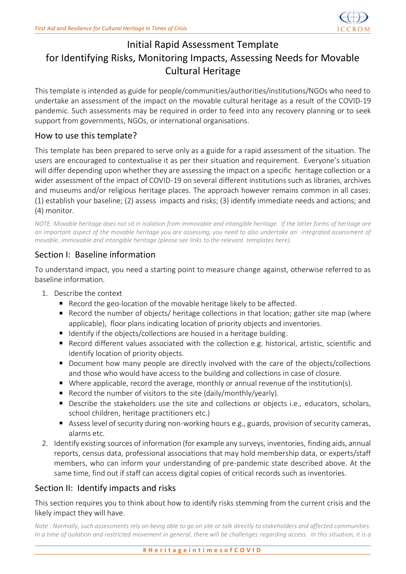

# Initial Rapid Assessment Template for Identifying Risks, Monitoring Impacts, Assessing Needs for Movable Cultural Heritage

This template is intended as guide for people/communities/authorities/institutions/NGOs who need to undertake an assessment of the impact on the movable cultural heritage as a result of the COVID-19 pandemic. Such assessments may be required in order to feed into any recovery planning or to seek support from governments, NGOs, or international organisations.

### How to use this template?

This template has been prepared to serve only as a guide for a rapid assessment of the situation. The users are encouraged to contextualise it as per their situation and requirement. Everyone's situation will differ depending upon whether they are assessing the impact on a specific heritage collection or a wider assessment of the impact of COVID-19 on several different institutions such as libraries, archives and museums and/or religious heritage places. The approach however remains common in all cases: (1) establish your baseline; (2) assess impacts and risks; (3) identify immediate needs and actions; and (4) monitor.

*NOTE: Movable heritage does not sit in isolation from immovable and intangible heritage. If the latter forms of heritage are an important aspect of the movable heritage you are assessing, you need to also undertake an integrated assessment of movable, immovable and intangible heritage (please see links to the relevant templates here).*

## Section I: Baseline information

To understand impact, you need a starting point to measure change against, otherwise referred to as baseline information.

- 1. Describe the context
	- Record the geo-location of the movable heritage likely to be affected.
	- Record the number of objects/ heritage collections in that location; gather site map (where applicable), floor plans indicating location of priority objects and inventories.
	- Identify if the objects/collections are housed in a heritage building.
	- Record different values associated with the collection e.g. historical, artistic, scientific and identify location of priority objects.
	- Document how many people are directly involved with the care of the objects/collections and those who would have access to the building and collections in case of closure.
	- Where applicable, record the average, monthly or annual revenue of the institution(s).
	- **E** Record the number of visitors to the site (daily/monthly/yearly).
	- Describe the stakeholders use the site and collections or objects i.e., educators, scholars, school children, heritage practitioners etc.)
	- Assess level of security during non-working hours e.g., guards, provision of security cameras, alarms etc.
- 2. Identify existing sources of information (for example any surveys, inventories, finding aids, annual reports, census data, professional associations that may hold membership data, or experts/staff members, who can inform your understanding of pre-pandemic state described above. At the same time, find out if staff can access digital copies of critical records such as inventories.

### Section II: Identify impacts and risks

This section requires you to think about how to identify risks stemming from the current crisis and the likely impact they will have.

*Note : Normally, such assessments rely on being able to go on site or talk directly to stakeholders and affected communities. In a time of isolation and restricted movement in general, there will be challenges regarding access. In this situation, it is a*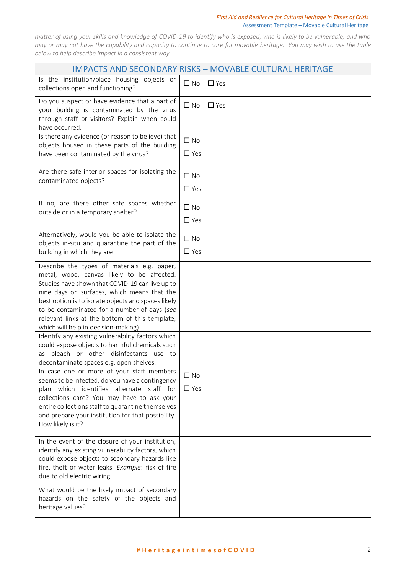*matter of using your skills and knowledge of COVID-19 to identify who is exposed, who is likely to be vulnerable, and who may or may not have the capability and capacity to continue to care for movable heritage. You may wish to use the table below to help describe impact in a consistent way.*

| <b>IMPACTS AND SECONDARY RISKS - MOVABLE CULTURAL HERITAGE</b>                                                                                                                                                                                                                                                                                                                               |                         |            |
|----------------------------------------------------------------------------------------------------------------------------------------------------------------------------------------------------------------------------------------------------------------------------------------------------------------------------------------------------------------------------------------------|-------------------------|------------|
| Is the institution/place housing objects or<br>collections open and functioning?                                                                                                                                                                                                                                                                                                             | $\Box$ No               | $\Box$ Yes |
| Do you suspect or have evidence that a part of<br>your building is contaminated by the virus<br>through staff or visitors? Explain when could<br>have occurred.                                                                                                                                                                                                                              | $\Box$ No               | $\Box$ Yes |
| Is there any evidence (or reason to believe) that<br>objects housed in these parts of the building<br>have been contaminated by the virus?                                                                                                                                                                                                                                                   | $\Box$ No<br>$\Box$ Yes |            |
| Are there safe interior spaces for isolating the<br>contaminated objects?                                                                                                                                                                                                                                                                                                                    | $\Box$ No<br>$\Box$ Yes |            |
| If no, are there other safe spaces whether<br>outside or in a temporary shelter?                                                                                                                                                                                                                                                                                                             | $\Box$ No<br>$\Box$ Yes |            |
| Alternatively, would you be able to isolate the<br>objects in-situ and quarantine the part of the<br>building in which they are                                                                                                                                                                                                                                                              | $\Box$ No<br>$\Box$ Yes |            |
| Describe the types of materials e.g. paper,<br>metal, wood, canvas likely to be affected.<br>Studies have shown that COVID-19 can live up to<br>nine days on surfaces, which means that the<br>best option is to isolate objects and spaces likely<br>to be contaminated for a number of days (see<br>relevant links at the bottom of this template,<br>which will help in decision-making). |                         |            |
| Identify any existing vulnerability factors which<br>could expose objects to harmful chemicals such<br>bleach or other disinfectants use to<br>as<br>decontaminate spaces e.g. open shelves.                                                                                                                                                                                                 |                         |            |
| In case one or more of your staff members<br>seems to be infected, do you have a contingency<br>plan which identifies alternate staff for<br>collections care? You may have to ask your<br>entire collections staff to quarantine themselves<br>and prepare your institution for that possibility.<br>How likely is it?                                                                      | $\Box$ No<br>$\Box$ Yes |            |
| In the event of the closure of your institution,<br>identify any existing vulnerability factors, which<br>could expose objects to secondary hazards like<br>fire, theft or water leaks. Example: risk of fire<br>due to old electric wiring.                                                                                                                                                 |                         |            |
| What would be the likely impact of secondary<br>hazards on the safety of the objects and<br>heritage values?                                                                                                                                                                                                                                                                                 |                         |            |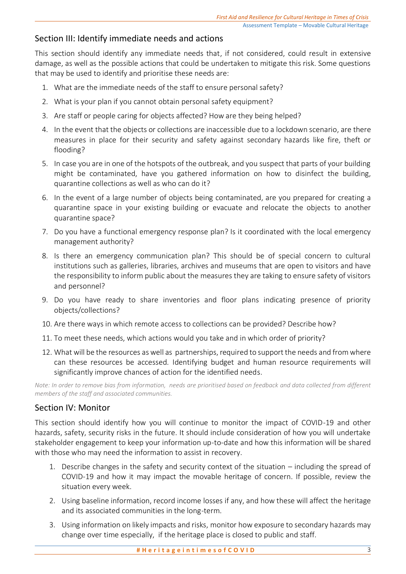## Section III: Identify immediate needs and actions

This section should identify any immediate needs that, if not considered, could result in extensive damage, as well as the possible actions that could be undertaken to mitigate this risk. Some questions that may be used to identify and prioritise these needs are:

- 1. What are the immediate needs of the staff to ensure personal safety?
- 2. What is your plan if you cannot obtain personal safety equipment?
- 3. Are staff or people caring for objects affected? How are they being helped?
- 4. In the event that the objects or collections are inaccessible due to a lockdown scenario, are there measures in place for their security and safety against secondary hazards like fire, theft or flooding?
- 5. In case you are in one of the hotspots of the outbreak, and you suspect that parts of your building might be contaminated, have you gathered information on how to disinfect the building, quarantine collections as well as who can do it?
- 6. In the event of a large number of objects being contaminated, are you prepared for creating a quarantine space in your existing building or evacuate and relocate the objects to another quarantine space?
- 7. Do you have a functional emergency response plan? Is it coordinated with the local emergency management authority?
- 8. Is there an emergency communication plan? This should be of special concern to cultural institutions such as galleries, libraries, archives and museums that are open to visitors and have the responsibility to inform public about the measures they are taking to ensure safety of visitors and personnel?
- 9. Do you have ready to share inventories and floor plans indicating presence of priority objects/collections?
- 10. Are there ways in which remote access to collections can be provided? Describe how?
- 11. To meet these needs, which actions would you take and in which order of priority?
- 12. What will be the resources as well as partnerships, required to support the needs and from where can these resources be accessed. Identifying budget and human resource requirements will significantly improve chances of action for the identified needs.

*Note: In order to remove bias from information, needs are prioritised based on feedback and data collected from different members of the staff and associated communities.* 

### Section IV: Monitor

This section should identify how you will continue to monitor the impact of COVID-19 and other hazards, safety, security risks in the future. It should include consideration of how you will undertake stakeholder engagement to keep your information up-to-date and how this information will be shared with those who may need the information to assist in recovery.

- 1. Describe changes in the safety and security context of the situation including the spread of COVID-19 and how it may impact the movable heritage of concern. If possible, review the situation every week.
- 2. Using baseline information, record income losses if any, and how these will affect the heritage and its associated communities in the long-term.
- 3. Using information on likely impacts and risks, monitor how exposure to secondary hazards may change over time especially, if the heritage place is closed to public and staff.